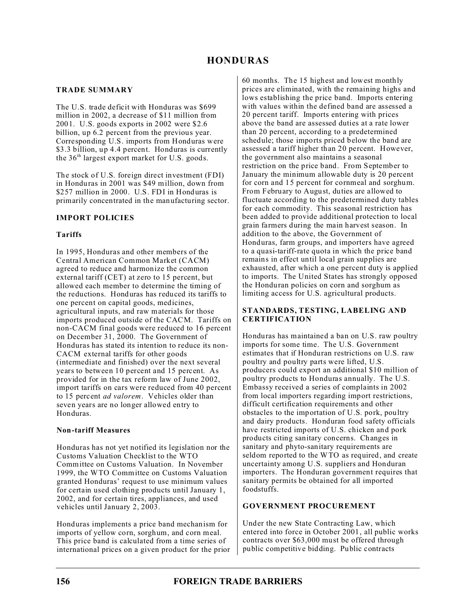# **HONDURAS**

### **TRADE SUMMARY**

The U.S. trade deficit with Honduras was \$699 million in 2002, a decrease of \$11 million from 2001. U.S. goods exports in 2002 were \$2.6 billion, up 6.2 percent from the previous year. Corresponding U.S. imports from Honduras were \$3.3 billion, up 4.4 percent. Honduras is currently the  $36<sup>th</sup>$  largest export market for U.S. goods.

The stock of U.S. foreign direct investment (FDI) in Honduras in 2001 was \$49 million, down from \$257 million in 2000. U.S. FDI in Honduras is primarily concentrated in the manufacturing sector.

### **IMPORT POLICIES**

### **Tariffs**

In 1995, Honduras and other members of the Central American Common Market (CACM) agreed to reduce and harmonize the common external tariff (CET) at zero to 15 percent, but allowed each member to determine the timing of the reductions. Honduras has reduced its tariffs to one percent on capital goods, medicines, agricultural inputs, and raw materials for those imports produced outside of the CACM. Tariffs on non-CACM final goods were reduced to 16 percent on December 31, 2000. The Government of Honduras has stated its intention to reduce its non-CACM external tariffs for other goods (intermediate and finished) over the next several years to between 10 percent and 15 percent. As provided for in the tax reform law of June 2002, import tariffs on cars were reduced from 40 percent to 15 percent *ad valorem*. Vehicles older than seven years are no longer allowed entry to Honduras.

### **Non-tariff Measures**

Honduras has not yet notified its legislation nor the Customs Valuation Checklist to the WTO Committee on Customs Valuation. In November 1999, the WTO Committee on Customs Valuation granted Honduras' request to use minimum values for certain used clothing products until January 1, 2002, and for certain tires, appliances, and used vehicles until January 2, 2003.

Honduras implements a price band mechanism for imports of yellow corn, sorghum, and corn meal. This price band is calculated from a time series of international prices on a given product for the prior 60 months. The 15 highest and lowest monthly prices are eliminated, with the remaining highs and lows establishing the price band. Imports entering with values within the defined band are assessed a 20 percent tariff. Imports entering with prices above the band are assessed duties at a rate lower than 20 percent, according to a predetermined schedule; those imports priced below the band are assessed a tariff higher than 20 percent. However, the government also maintains a seasonal restriction on the price band. From September to January the minimum allowable duty is 20 percent for corn and 15 percent for cornmeal and sorghum. From February to August, duties are allowed to fluctuate according to the predetermined duty tables for each commodity. This seasonal restriction has been added to provide additional protection to local grain farmers during the main harvest season. In addition to the above, the Government of Honduras, farm groups, and importers have agreed to a quasi-tariff-rate quota in which the price band remains in effect until local grain supplies are exhausted, after which a one percent duty is applied to imports. The United States has strongly opposed the Honduran policies on corn and sorghum as limiting access for U.S. agricultural products.

### **STANDARDS, TESTING, LABELING AND CERTIFICATION**

Honduras has maintained a ban on U.S. raw poultry imports for some time. The U.S. Government estimates that if Honduran restrictions on U.S. raw poultry and poultry parts were lifted, U.S. producers could export an additional \$10 million of poultry products to Honduras annually. The U.S. Embassy received a series of complaints in 2002 from local importers regarding import restrictions, difficult certification requirements and other obstacles to the importation of U.S. pork, poultry and dairy products. Honduran food safety officials have restricted imports of U.S. chicken and pork products citing sanitary concerns. Changes in sanitary and phyto-sanitary requirements are seldom reported to the WTO as required, and create uncertainty among U.S. suppliers and Honduran importers. The Honduran government requires that sanitary permits be obtained for all imported foodstuffs.

### **GOVERNMENT PROCUREMENT**

Under the new State Contracting Law, which entered into force in October 2001, all public works contracts over \$63,000 must be offered through public competitive bidding. Public contracts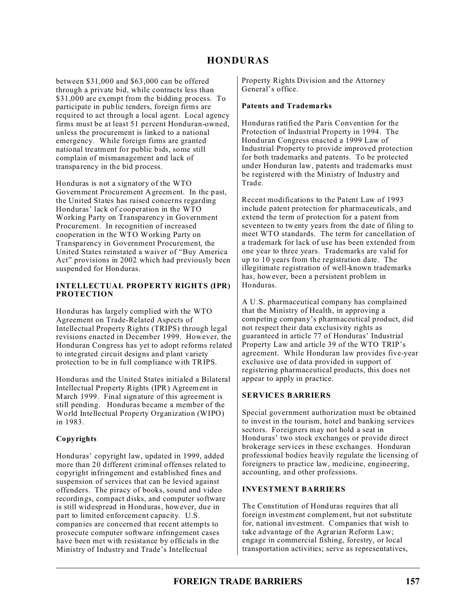# **HONDURAS**

between \$31,000 and \$63,000 can be offered through a private bid, while contracts less than \$31,000 are exempt from the bidding process. To participate in public tenders, foreign firms are required to act through a local agent. Local agency firms must be at least 51 percent Honduran-owned, unless the procurement is linked to a national emergency. While foreign firms are granted national treatment for public bids, some still complain of mismanagement and lack of transparency in the bid process.

Honduras is not a signatory of the WTO Government Procurement Agreement. In the past, the United States has raised concerns regarding Honduras' lack of cooperation in the WTO Working Party on Transparency in Government Procurement. In recognition of increased cooperation in the WTO Working Party on Transparency in Government Procurement, the United States reinstated a waiver of "Buy America Act" provisions in 2002 which had previously been suspended for Honduras.

#### **INTELLECTUAL PROPERTY RIGHTS (IPR) PROTECTION**

Honduras has largely complied with the WTO Agreement on Trade-Related Aspects of Intellectual Property Rights (TRIPS) through legal revisions enacted in December 1999. However, the Honduran Congress has yet to adopt reforms related to integrated circuit designs and plant variety protection to be in full compliance with TRIPS.

Honduras and the United States initialed a Bilateral Intellectual Property Rights (IPR) Agreement in March 1999. Final signature of this agreement is still pending. Honduras became a member of the World Intellectual Property Organization (WIPO) in 1983.

### **Copyrights**

Honduras' copyright law, updated in 1999, added more than 20 different criminal offenses related to copyright infringement and established fines and suspension of services that can be levied against offenders. The piracy of books, sound and video recordings, compact disks, and computer software is still widespread in Honduras, however, due in part to limited enforcement capacity. U.S. companies are concerned that recent attempts to prosecute computer software infringement cases have been met with resistance by officials in the Ministry of Industry and Trade's Intellectual

Property Rights Division and the Attorney General's office.

### **Patents and Trademarks**

Honduras ratified the Paris Convention for the Protection of Industrial Property in 1994. The Honduran Congress enacted a 1999 Law of Industrial Property to provide improved protection for both trademarks and patents. To be protected under Honduran law, patents and trademarks must be registered with the Ministry of Industry and Trade.

Recent modifications to the Patent Law of 1993 include patent protection for pharmaceuticals, and extend the term of protection for a patent from seventeen to twenty years from the date of filing to meet WTO standards. The term for cancellation of a trademark for lack of use has been extended from one year to three years. Trademarks are valid for up to 10 years from the registration date. The illegitimate registration of well-known trademarks has, however, been a persistent problem in Honduras.

A U.S. pharmaceutical company has complained that the Ministry of Health, in approving a competing company's pharmaceutical product, did not respect their data exclusivity rights as guaranteed in article 77 of Honduras' Industrial Property Law and article 39 of the WTO TRIP's agreement. While Honduran law provides five-year exclusive use of data provided in support of registering pharmaceutical products, this does not appear to apply in practice.

## **SERVICES BARRIERS**

Special government authorization must be obtained to invest in the tourism, hotel and banking services sectors. Foreigners may not hold a seat in Honduras' two stock exchanges or provide direct brokerage services in these exchanges. Honduran professional bodies heavily regulate the licensing of foreigners to practice law, medicine, engineering, accounting, and other professions.

### **INVESTMENT BARRIERS**

The Constitution of Honduras requires that all foreign investment complement, but not substitute for, national investment. Companies that wish to take advantage of the Agrarian Reform Law; engage in commercial fishing, forestry, or local transportation activities; serve as representatives,